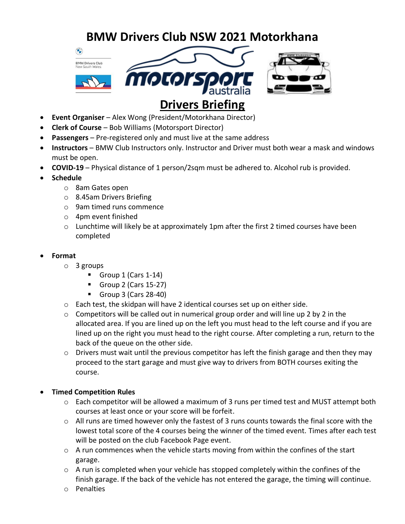# **BMW Drivers Club NSW 2021 Motorkhana**







## • **Event Organiser** – Alex Wong (President/Motorkhana Director)

- **Clerk of Course** Bob Williams (Motorsport Director)
- **Passengers** Pre-registered only and must live at the same address
- **Instructors** BMW Club Instructors only. Instructor and Driver must both wear a mask and windows must be open.
- **COVID-19** Physical distance of 1 person/2sqm must be adhered to. Alcohol rub is provided.
- **Schedule**
	- o 8am Gates open
	- o 8.45am Drivers Briefing
	- o 9am timed runs commence
	- o 4pm event finished
	- $\circ$  Lunchtime will likely be at approximately 1pm after the first 2 timed courses have been completed
- **Format**
	- o 3 groups
		- $\blacksquare$  Group 1 (Cars 1-14)
		- $\blacksquare$  Group 2 (Cars 15-27)
		- $\blacksquare$  Group 3 (Cars 28-40)
	- o Each test, the skidpan will have 2 identical courses set up on either side.
	- $\circ$  Competitors will be called out in numerical group order and will line up 2 by 2 in the allocated area. If you are lined up on the left you must head to the left course and if you are lined up on the right you must head to the right course. After completing a run, return to the back of the queue on the other side.
	- $\circ$  Drivers must wait until the previous competitor has left the finish garage and then they may proceed to the start garage and must give way to drivers from BOTH courses exiting the course.

#### • **Timed Competition Rules**

- o Each competitor will be allowed a maximum of 3 runs per timed test and MUST attempt both courses at least once or your score will be forfeit.
- $\circ$  All runs are timed however only the fastest of 3 runs counts towards the final score with the lowest total score of the 4 courses being the winner of the timed event. Times after each test will be posted on the club Facebook Page event.
- $\circ$  A run commences when the vehicle starts moving from within the confines of the start garage.
- $\circ$  A run is completed when your vehicle has stopped completely within the confines of the finish garage. If the back of the vehicle has not entered the garage, the timing will continue.
- o Penalties